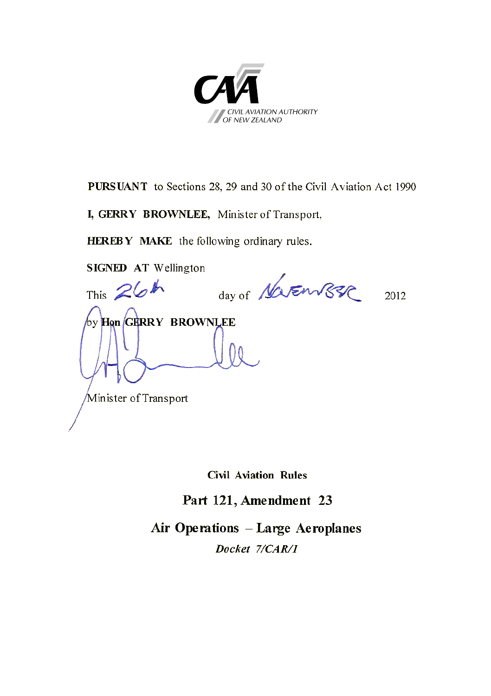

**PURSUANT** to Sections 28, 29 and 30 of the Civil Aviation Act 1990

**I, GERRY BROWNLEE,** Minister of Transport,

**HEREBY MAKE** the following ordinary rules.

**SIGNED AT** Wellington

This  $26h$  day of Never 1885 2012 by **Hon GERRY BROWNLEE** Minister of Transport

**Civil Aviation Rules**

**Part 121, Amendment 23**

**Air Operations – Large Aeroplanes** *Docket 7/CAR/1*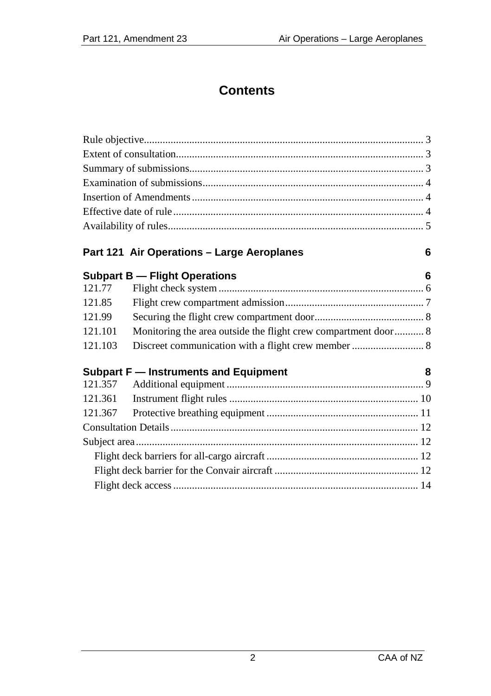# **Contents**

|        | Part 121 Air Operations - Large Aeroplanes | 6 |
|--------|--------------------------------------------|---|
|        | <b>Subpart B - Flight Operations</b>       | 6 |
| 121.77 |                                            |   |
| 121.85 |                                            |   |
| 121.99 |                                            |   |

| Subpart F — Instruments and Equipment | 8 |
|---------------------------------------|---|
|                                       |   |
|                                       |   |
|                                       |   |

121.101 [Monitoring the area outside the flight crew compartment door...........](#page-7-1) 8

# [Consultation Details.............................................................................................](#page-11-0) 12 Subject area [..........................................................................................................](#page-11-1) 12 [Flight deck barriers for all-cargo aircraft](#page-11-2) ......................................................... 12 [Flight deck barrier for the Convair aircraft](#page-11-3) ...................................................... 12 [Flight deck access............................................................................................](#page-13-0) 14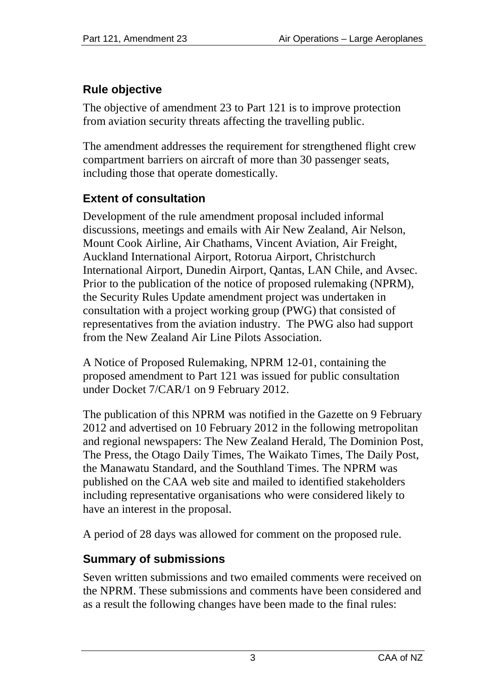# <span id="page-2-0"></span>**Rule objective**

The objective of amendment 23 to Part 121 is to improve protection from aviation security threats affecting the travelling public.

The amendment addresses the requirement for strengthened flight crew compartment barriers on aircraft of more than 30 passenger seats, including those that operate domestically.

# <span id="page-2-1"></span>**Extent of consultation**

Development of the rule amendment proposal included informal discussions, meetings and emails with Air New Zealand, Air Nelson, Mount Cook Airline, Air Chathams, Vincent Aviation, Air Freight, Auckland International Airport, Rotorua Airport, Christchurch International Airport, Dunedin Airport, Qantas, LAN Chile, and Avsec. Prior to the publication of the notice of proposed rulemaking (NPRM), the Security Rules Update amendment project was undertaken in consultation with a project working group (PWG) that consisted of representatives from the aviation industry. The PWG also had support from the New Zealand Air Line Pilots Association.

A Notice of Proposed Rulemaking, NPRM 12-01, containing the proposed amendment to Part 121 was issued for public consultation under Docket 7/CAR/1 on 9 February 2012.

The publication of this NPRM was notified in the Gazette on 9 February 2012 and advertised on 10 February 2012 in the following metropolitan and regional newspapers: The New Zealand Herald, The Dominion Post, The Press, the Otago Daily Times, The Waikato Times, The Daily Post, the Manawatu Standard, and the Southland Times. The NPRM was published on the CAA web site and mailed to identified stakeholders including representative organisations who were considered likely to have an interest in the proposal.

A period of 28 days was allowed for comment on the proposed rule.

# <span id="page-2-2"></span>**Summary of submissions**

Seven written submissions and two emailed comments were received on the NPRM. These submissions and comments have been considered and as a result the following changes have been made to the final rules: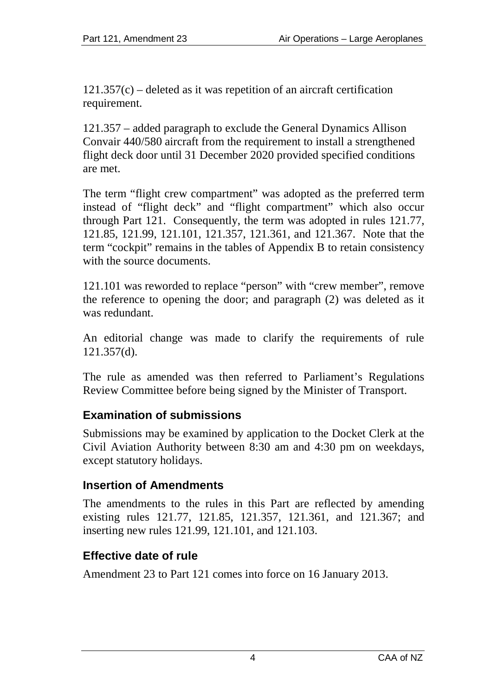$121.357(c)$  – deleted as it was repetition of an aircraft certification requirement.

121.357 – added paragraph to exclude the General Dynamics Allison Convair 440/580 aircraft from the requirement to install a strengthened flight deck door until 31 December 2020 provided specified conditions are met.

The term "flight crew compartment" was adopted as the preferred term instead of "flight deck" and "flight compartment" which also occur through Part 121. Consequently, the term was adopted in rules 121.77, 121.85, 121.99, 121.101, 121.357, 121.361, and 121.367. Note that the term "cockpit" remains in the tables of Appendix B to retain consistency with the source documents.

121.101 was reworded to replace "person" with "crew member", remove the reference to opening the door; and paragraph (2) was deleted as it was redundant.

An editorial change was made to clarify the requirements of rule 121.357(d).

The rule as amended was then referred to Parliament's Regulations Review Committee before being signed by the Minister of Transport.

## <span id="page-3-0"></span>**Examination of submissions**

Submissions may be examined by application to the Docket Clerk at the Civil Aviation Authority between 8:30 am and 4:30 pm on weekdays, except statutory holidays.

## <span id="page-3-1"></span>**Insertion of Amendments**

The amendments to the rules in this Part are reflected by amending existing rules 121.77, 121.85, 121.357, 121.361, and 121.367; and inserting new rules 121.99, 121.101, and 121.103.

## <span id="page-3-2"></span>**Effective date of rule**

Amendment 23 to Part 121 comes into force on 16 January 2013.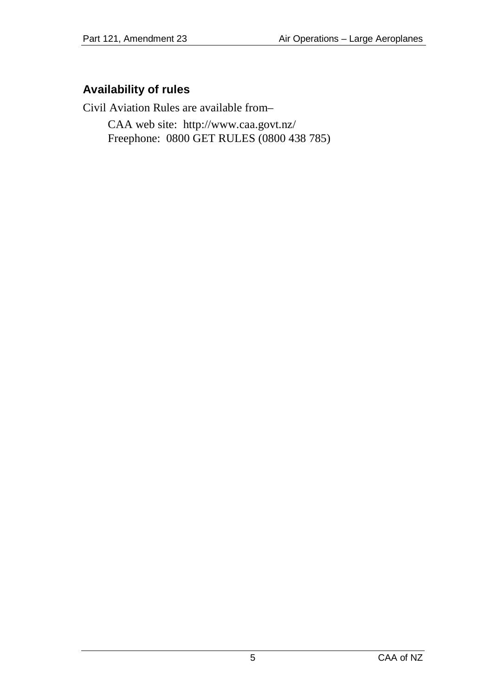## <span id="page-4-0"></span>**Availability of rules**

Civil Aviation Rules are available from–

CAA web site:<http://www.caa.govt.nz/> Freephone: 0800 GET RULES (0800 438 785)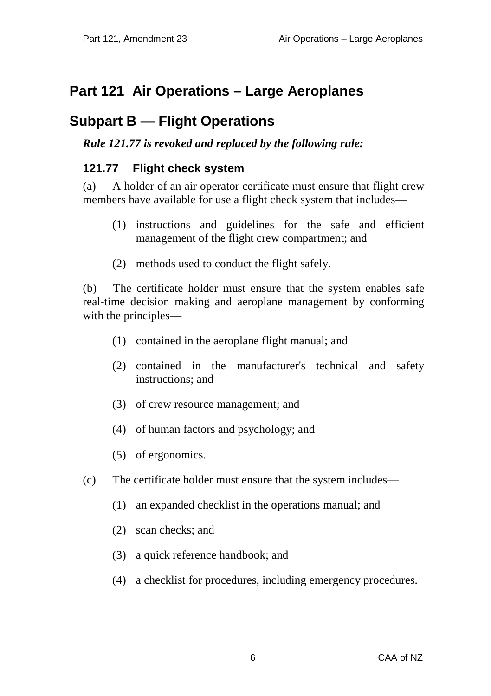# <span id="page-5-0"></span>**Part 121 Air Operations – Large Aeroplanes**

# <span id="page-5-1"></span>**Subpart B — Flight Operations**

#### *Rule 121.77 is revoked and replaced by the following rule:*

#### <span id="page-5-2"></span>**121.77 Flight check system**

(a) A holder of an air operator certificate must ensure that flight crew members have available for use a flight check system that includes—

- (1) instructions and guidelines for the safe and efficient management of the flight crew compartment; and
- (2) methods used to conduct the flight safely.

(b) The certificate holder must ensure that the system enables safe real-time decision making and aeroplane management by conforming with the principles—

- (1) contained in the aeroplane flight manual; and
- (2) contained in the manufacturer's technical and safety instructions; and
- (3) of crew resource management; and
- (4) of human factors and psychology; and
- (5) of ergonomics.
- (c) The certificate holder must ensure that the system includes—
	- (1) an expanded checklist in the operations manual; and
	- (2) scan checks; and
	- (3) a quick reference handbook; and
	- (4) a checklist for procedures, including emergency procedures.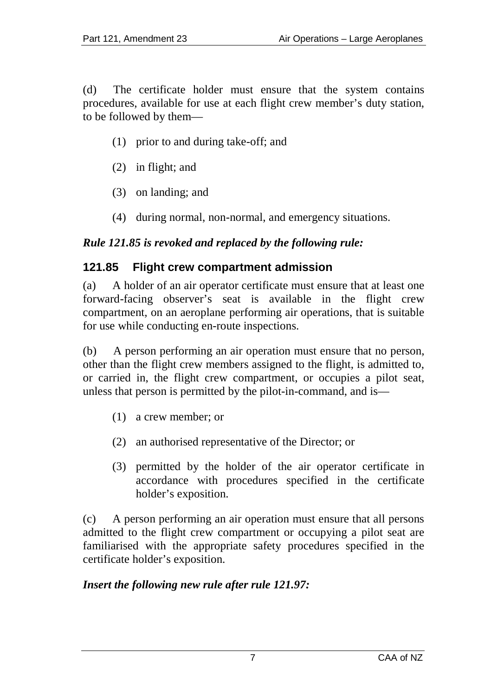(d) The certificate holder must ensure that the system contains procedures, available for use at each flight crew member's duty station, to be followed by them—

- (1) prior to and during take-off; and
- (2) in flight; and
- (3) on landing; and
- (4) during normal, non-normal, and emergency situations.

#### *Rule 121.85 is revoked and replaced by the following rule:*

#### <span id="page-6-0"></span>**121.85 Flight crew compartment admission**

(a) A holder of an air operator certificate must ensure that at least one forward-facing observer's seat is available in the flight crew compartment, on an aeroplane performing air operations, that is suitable for use while conducting en-route inspections.

(b) A person performing an air operation must ensure that no person, other than the flight crew members assigned to the flight, is admitted to, or carried in, the flight crew compartment, or occupies a pilot seat, unless that person is permitted by the pilot-in-command, and is—

- (1) a crew member; or
- (2) an authorised representative of the Director; or
- (3) permitted by the holder of the air operator certificate in accordance with procedures specified in the certificate holder's exposition.

(c) A person performing an air operation must ensure that all persons admitted to the flight crew compartment or occupying a pilot seat are familiarised with the appropriate safety procedures specified in the certificate holder's exposition.

#### *Insert the following new rule after rule 121.97:*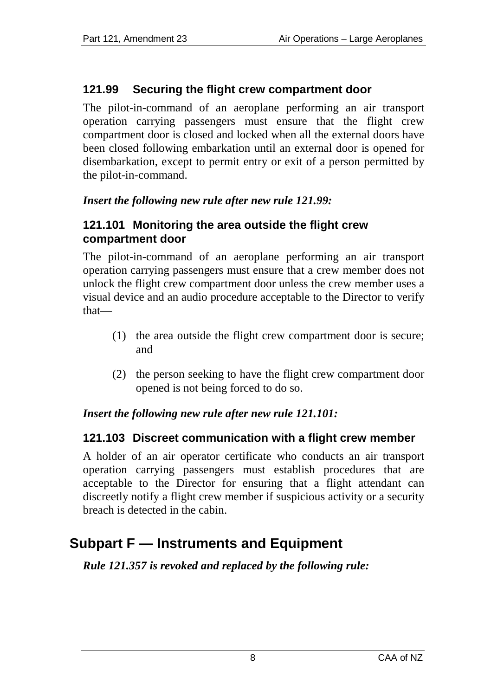## <span id="page-7-0"></span>**121.99 Securing the flight crew compartment door**

The pilot-in-command of an aeroplane performing an air transport operation carrying passengers must ensure that the flight crew compartment door is closed and locked when all the external doors have been closed following embarkation until an external door is opened for disembarkation, except to permit entry or exit of a person permitted by the pilot-in-command.

#### *Insert the following new rule after new rule 121.99:*

#### <span id="page-7-1"></span>**121.101 Monitoring the area outside the flight crew compartment door**

The pilot-in-command of an aeroplane performing an air transport operation carrying passengers must ensure that a crew member does not unlock the flight crew compartment door unless the crew member uses a visual device and an audio procedure acceptable to the Director to verify that—

- (1) the area outside the flight crew compartment door is secure; and
- (2) the person seeking to have the flight crew compartment door opened is not being forced to do so.

#### *Insert the following new rule after new rule 121.101:*

#### <span id="page-7-2"></span>**121.103 Discreet communication with a flight crew member**

A holder of an air operator certificate who conducts an air transport operation carrying passengers must establish procedures that are acceptable to the Director for ensuring that a flight attendant can discreetly notify a flight crew member if suspicious activity or a security breach is detected in the cabin.

# <span id="page-7-3"></span>**Subpart F — Instruments and Equipment**

*Rule 121.357 is revoked and replaced by the following rule:*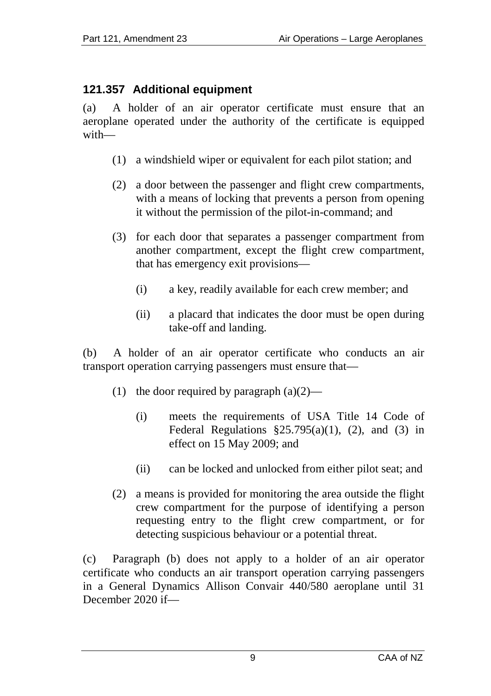## <span id="page-8-0"></span>**121.357 Additional equipment**

(a) A holder of an air operator certificate must ensure that an aeroplane operated under the authority of the certificate is equipped with—

- (1) a windshield wiper or equivalent for each pilot station; and
- (2) a door between the passenger and flight crew compartments, with a means of locking that prevents a person from opening it without the permission of the pilot-in-command; and
- (3) for each door that separates a passenger compartment from another compartment, except the flight crew compartment, that has emergency exit provisions—
	- (i) a key, readily available for each crew member; and
	- (ii) a placard that indicates the door must be open during take-off and landing.

(b) A holder of an air operator certificate who conducts an air transport operation carrying passengers must ensure that—

- (1) the door required by paragraph  $(a)(2)$ 
	- (i) meets the requirements of USA Title 14 Code of Federal Regulations  $\S25.795(a)(1)$ , (2), and (3) in effect on 15 May 2009; and
	- (ii) can be locked and unlocked from either pilot seat; and
- (2) a means is provided for monitoring the area outside the flight crew compartment for the purpose of identifying a person requesting entry to the flight crew compartment, or for detecting suspicious behaviour or a potential threat.

(c) Paragraph (b) does not apply to a holder of an air operator certificate who conducts an air transport operation carrying passengers in a General Dynamics Allison Convair 440/580 aeroplane until 31 December 2020 if—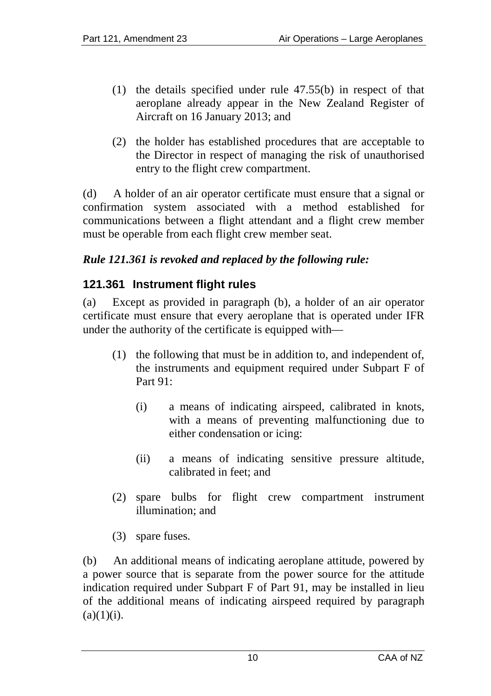- (1) the details specified under rule 47.55(b) in respect of that aeroplane already appear in the New Zealand Register of Aircraft on 16 January 2013; and
- (2) the holder has established procedures that are acceptable to the Director in respect of managing the risk of unauthorised entry to the flight crew compartment.

(d) A holder of an air operator certificate must ensure that a signal or confirmation system associated with a method established for communications between a flight attendant and a flight crew member must be operable from each flight crew member seat.

### *Rule 121.361 is revoked and replaced by the following rule:*

### <span id="page-9-0"></span>**121.361 Instrument flight rules**

(a) Except as provided in paragraph (b), a holder of an air operator certificate must ensure that every aeroplane that is operated under IFR under the authority of the certificate is equipped with—

- (1) the following that must be in addition to, and independent of, the instruments and equipment required under Subpart F of Part 91:
	- (i) a means of indicating airspeed, calibrated in knots, with a means of preventing malfunctioning due to either condensation or icing:
	- (ii) a means of indicating sensitive pressure altitude, calibrated in feet; and
- (2) spare bulbs for flight crew compartment instrument illumination; and
- (3) spare fuses.

(b) An additional means of indicating aeroplane attitude, powered by a power source that is separate from the power source for the attitude indication required under Subpart F of Part 91, may be installed in lieu of the additional means of indicating airspeed required by paragraph  $(a)(1)(i)$ .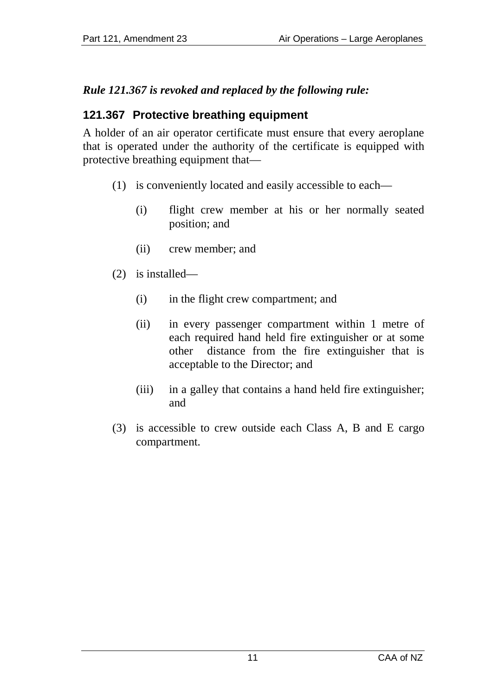## *Rule 121.367 is revoked and replaced by the following rule:*

## <span id="page-10-0"></span>**121.367 Protective breathing equipment**

A holder of an air operator certificate must ensure that every aeroplane that is operated under the authority of the certificate is equipped with protective breathing equipment that—

- (1) is conveniently located and easily accessible to each—
	- (i) flight crew member at his or her normally seated position; and
	- (ii) crew member; and
- (2) is installed—
	- (i) in the flight crew compartment; and
	- (ii) in every passenger compartment within 1 metre of each required hand held fire extinguisher or at some other distance from the fire extinguisher that is acceptable to the Director; and
	- (iii) in a galley that contains a hand held fire extinguisher; and
- (3) is accessible to crew outside each Class A, B and E cargo compartment.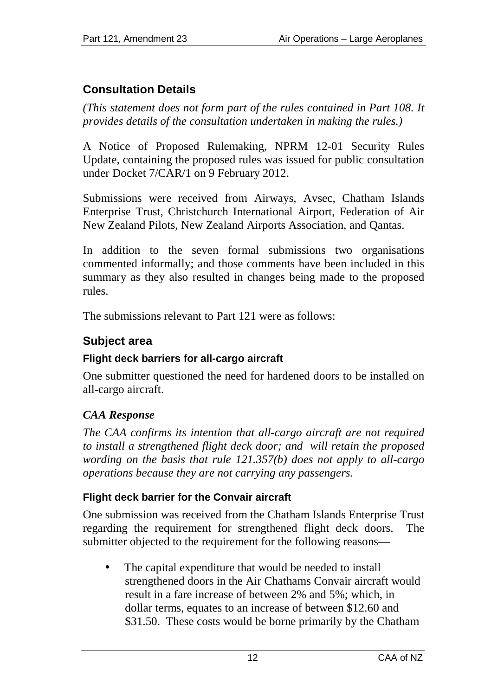# <span id="page-11-0"></span>**Consultation Details**

*(This statement does not form part of the rules contained in Part 108. It provides details of the consultation undertaken in making the rules.)*

A Notice of Proposed Rulemaking, NPRM 12-01 Security Rules Update, containing the proposed rules was issued for public consultation under Docket 7/CAR/1 on 9 February 2012.

Submissions were received from Airways, Avsec, Chatham Islands Enterprise Trust, Christchurch International Airport, Federation of Air New Zealand Pilots, New Zealand Airports Association, and Qantas.

In addition to the seven formal submissions two organisations commented informally; and those comments have been included in this summary as they also resulted in changes being made to the proposed rules.

The submissions relevant to Part 121 were as follows:

## <span id="page-11-1"></span>**Subject area**

## <span id="page-11-2"></span>**Flight deck barriers for all-cargo aircraft**

One submitter questioned the need for hardened doors to be installed on all-cargo aircraft.

# *CAA Response*

*The CAA confirms its intention that all-cargo aircraft are not required to install a strengthened flight deck door; and will retain the proposed wording on the basis that rule 121.357(b) does not apply to all-cargo operations because they are not carrying any passengers.*

## <span id="page-11-3"></span>**Flight deck barrier for the Convair aircraft**

One submission was received from the Chatham Islands Enterprise Trust regarding the requirement for strengthened flight deck doors. The submitter objected to the requirement for the following reasons—

The capital expenditure that would be needed to install strengthened doors in the Air Chathams Convair aircraft would result in a fare increase of between 2% and 5%; which, in dollar terms, equates to an increase of between \$12.60 and \$31.50. These costs would be borne primarily by the Chatham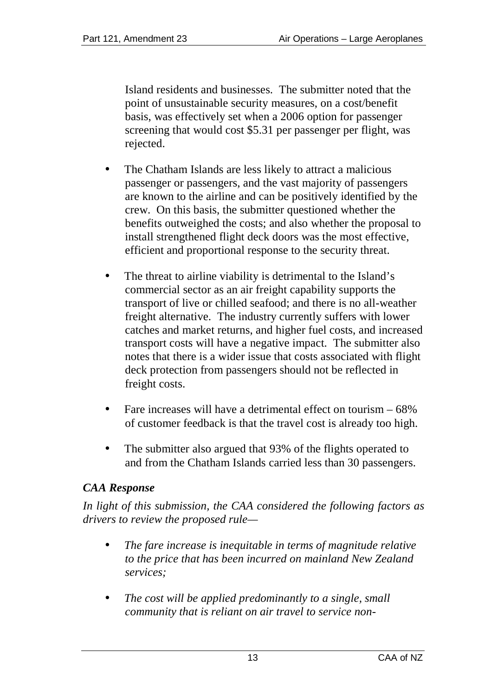Island residents and businesses. The submitter noted that the point of unsustainable security measures, on a cost/benefit basis, was effectively set when a 2006 option for passenger screening that would cost \$5.31 per passenger per flight, was rejected.

- The Chatham Islands are less likely to attract a malicious passenger or passengers, and the vast majority of passengers are known to the airline and can be positively identified by the crew. On this basis, the submitter questioned whether the benefits outweighed the costs; and also whether the proposal to install strengthened flight deck doors was the most effective, efficient and proportional response to the security threat.
- The threat to airline viability is detrimental to the Island's commercial sector as an air freight capability supports the transport of live or chilled seafood; and there is no all-weather freight alternative. The industry currently suffers with lower catches and market returns, and higher fuel costs, and increased transport costs will have a negative impact. The submitter also notes that there is a wider issue that costs associated with flight deck protection from passengers should not be reflected in freight costs.
- Fare increases will have a detrimental effect on tourism 68% of customer feedback is that the travel cost is already too high.
- The submitter also argued that 93% of the flights operated to and from the Chatham Islands carried less than 30 passengers.

## *CAA Response*

*In light of this submission, the CAA considered the following factors as drivers to review the proposed rule—*

- *The fare increase is inequitable in terms of magnitude relative to the price that has been incurred on mainland New Zealand services;*
- *The cost will be applied predominantly to a single, small community that is reliant on air travel to service non-*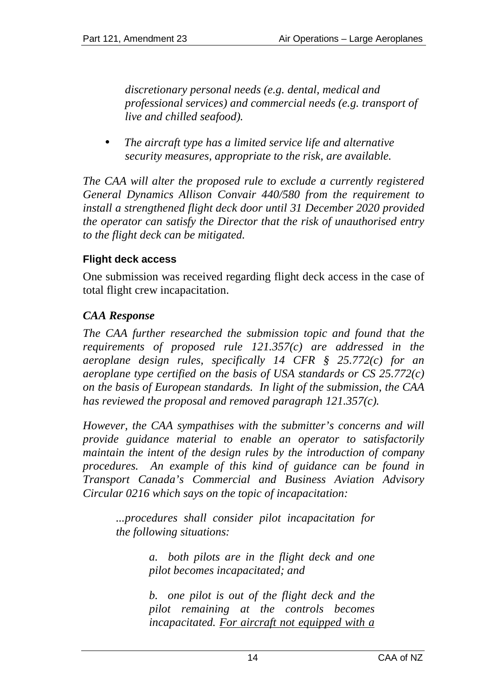*discretionary personal needs (e.g. dental, medical and professional services) and commercial needs (e.g. transport of live and chilled seafood).*

*The aircraft type has a limited service life and alternative security measures, appropriate to the risk, are available.*

*The CAA will alter the proposed rule to exclude a currently registered General Dynamics Allison Convair 440/580 from the requirement to install a strengthened flight deck door until 31 December 2020 provided the operator can satisfy the Director that the risk of unauthorised entry to the flight deck can be mitigated.*

#### <span id="page-13-0"></span>**Flight deck access**

One submission was received regarding flight deck access in the case of total flight crew incapacitation.

## *CAA Response*

*The CAA further researched the submission topic and found that the requirements of proposed rule 121.357(c) are addressed in the aeroplane design rules, specifically 14 CFR § 25.772(c) for an aeroplane type certified on the basis of USA standards or CS 25.772(c) on the basis of European standards. In light of the submission, the CAA has reviewed the proposal and removed paragraph 121.357(c).*

*However, the CAA sympathises with the submitter's concerns and will provide guidance material to enable an operator to satisfactorily maintain the intent of the design rules by the introduction of company procedures. An example of this kind of guidance can be found in Transport Canada's Commercial and Business Aviation Advisory Circular 0216 which says on the topic of incapacitation:*

*...procedures shall consider pilot incapacitation for the following situations:* 

> *a. both pilots are in the flight deck and one pilot becomes incapacitated; and*

> *b. one pilot is out of the flight deck and the pilot remaining at the controls becomes incapacitated. For aircraft not equipped with a*